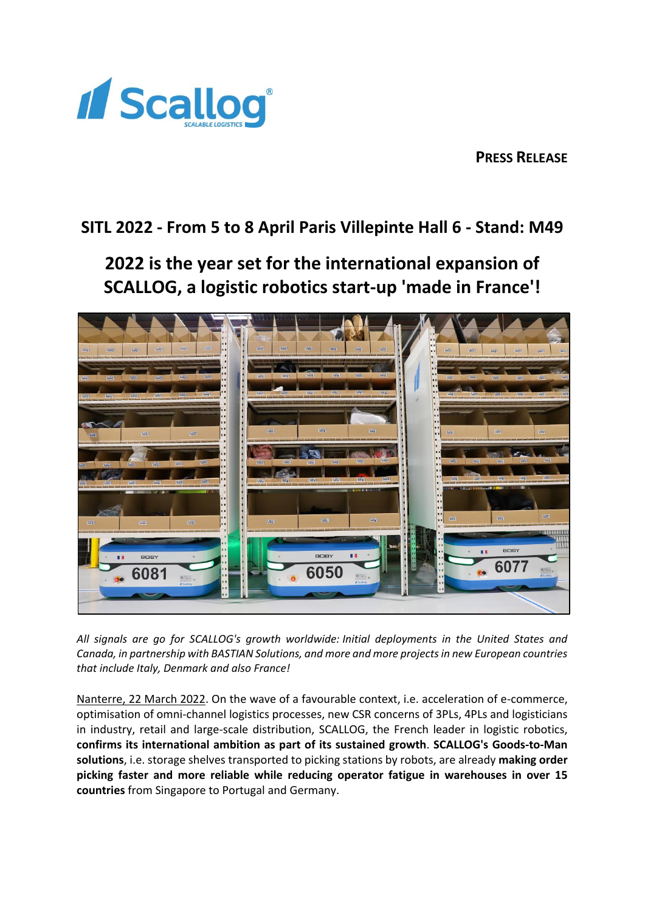

**PRESS RELEASE** 

# **SITL 2022 - From 5 to 8 April Paris Villepinte Hall 6 - Stand: M49**

**2022 is the year set for the international expansion of SCALLOG, a logistic robotics start-up 'made in France'!**



*All signals are go for SCALLOG's growth worldwide: Initial deployments in the United States and Canada, in partnership with BASTIAN Solutions, and more and more projects in new European countries that include Italy, Denmark and also France!*

Nanterre, 22 March 2022. On the wave of a favourable context, i.e. acceleration of e-commerce, optimisation of omni-channel logistics processes, new CSR concerns of 3PLs, 4PLs and logisticians in industry, retail and large-scale distribution, SCALLOG, the French leader in logistic robotics, **confirms its international ambition as part of its sustained growth**. **SCALLOG's Goods-to-Man solutions**, i.e. storage shelves transported to picking stations by robots, are already **making order picking faster and more reliable while reducing operator fatigue in warehouses in over 15 countries** from Singapore to Portugal and Germany.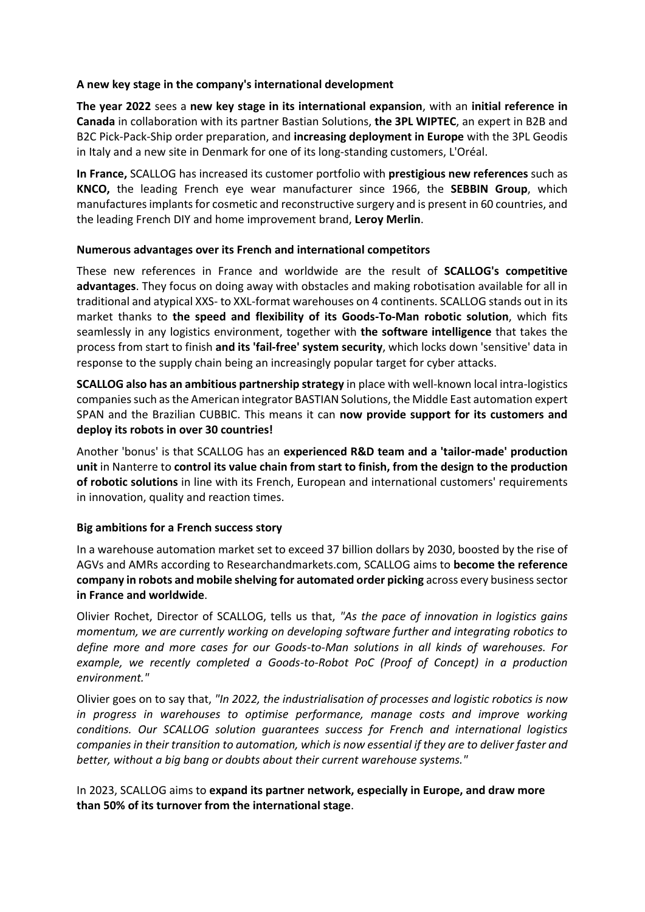### **A new key stage in the company's international development**

**The year 2022** sees a **new key stage in its international expansion**, with an **initial reference in Canada** in collaboration with its partner Bastian Solutions, **the 3PL WIPTEC**, an expert in B2B and B2C Pick-Pack-Ship order preparation, and **increasing deployment in Europe** with the 3PL Geodis in Italy and a new site in Denmark for one of its long-standing customers, L'Oréal.

**In France,** SCALLOG has increased its customer portfolio with **prestigious new references** such as **KNCO,** the leading French eye wear manufacturer since 1966, the **SEBBIN Group**, which manufactures implants for cosmetic and reconstructive surgery and is present in 60 countries, and the leading French DIY and home improvement brand, **Leroy Merlin**.

## **Numerous advantages over its French and international competitors**

These new references in France and worldwide are the result of **SCALLOG's competitive advantages**. They focus on doing away with obstacles and making robotisation available for all in traditional and atypical XXS- to XXL-format warehouses on 4 continents. SCALLOG stands out in its market thanks to **the speed and flexibility of its Goods-To-Man robotic solution**, which fits seamlessly in any logistics environment, together with **the software intelligence** that takes the process from start to finish **and its 'fail-free' system security**, which locks down 'sensitive' data in response to the supply chain being an increasingly popular target for cyber attacks.

**SCALLOG also has an ambitious partnership strategy** in place with well-known local intra-logistics companies such as the American integrator BASTIAN Solutions, the Middle East automation expert SPAN and the Brazilian CUBBIC. This means it can **now provide support for its customers and deploy its robots in over 30 countries!**

Another 'bonus' is that SCALLOG has an **experienced R&D team and a 'tailor-made' production unit** in Nanterre to **control its value chain from start to finish, from the design to the production of robotic solutions** in line with its French, European and international customers' requirements in innovation, quality and reaction times.

## **Big ambitions for a French success story**

In a warehouse automation market set to exceed 37 billion dollars by 2030, boosted by the rise of AGVs and AMRs according to Researchandmarkets.com, SCALLOG aims to **become the reference company in robots and mobile shelving for automated order picking** across every business sector **in France and worldwide**.

Olivier Rochet, Director of SCALLOG, tells us that, *"As the pace of innovation in logistics gains momentum, we are currently working on developing software further and integrating robotics to define more and more cases for our Goods-to-Man solutions in all kinds of warehouses. For example, we recently completed a Goods-to-Robot PoC (Proof of Concept) in a production environment."*

Olivier goes on to say that, *"In 2022, the industrialisation of processes and logistic robotics is now in progress in warehouses to optimise performance, manage costs and improve working conditions. Our SCALLOG solution guarantees success for French and international logistics companies in their transition to automation, which is now essential if they are to deliver faster and better, without a big bang or doubts about their current warehouse systems."*

In 2023, SCALLOG aims to **expand its partner network, especially in Europe, and draw more than 50% of its turnover from the international stage**.